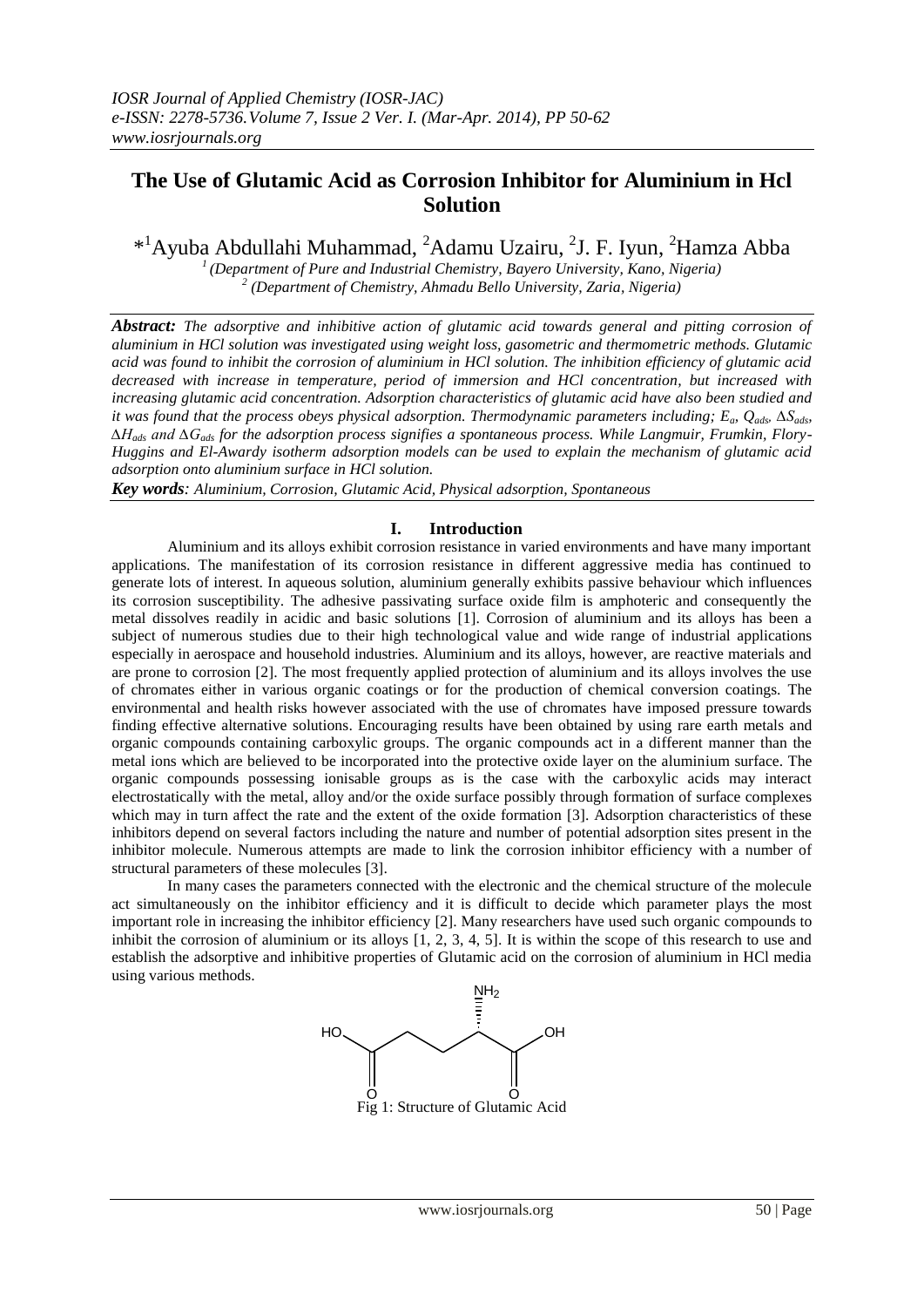# **The Use of Glutamic Acid as Corrosion Inhibitor for Aluminium in Hcl Solution**

\*<sup>1</sup>Ayuba Abdullahi Muhammad, <sup>2</sup>Adamu Uzairu, <sup>2</sup>J. F. Iyun, <sup>2</sup>Hamza Abba

*<sup>1</sup>(Department of Pure and Industrial Chemistry, Bayero University, Kano, Nigeria) 2 (Department of Chemistry, Ahmadu Bello University, Zaria, Nigeria)*

*Abstract: The adsorptive and inhibitive action of glutamic acid towards general and pitting corrosion of aluminium in HCl solution was investigated using weight loss, gasometric and thermometric methods. Glutamic acid was found to inhibit the corrosion of aluminium in HCl solution. The inhibition efficiency of glutamic acid decreased with increase in temperature, period of immersion and HCl concentration, but increased with increasing glutamic acid concentration. Adsorption characteristics of glutamic acid have also been studied and it was found that the process obeys physical adsorption. Thermodynamic parameters including; Ea, Qads, ∆Sads, ∆Hads and ∆Gads for the adsorption process signifies a spontaneous process. While Langmuir, Frumkin, Flory-Huggins and El-Awardy isotherm adsorption models can be used to explain the mechanism of glutamic acid adsorption onto aluminium surface in HCl solution.*

*Key words: Aluminium, Corrosion, Glutamic Acid, Physical adsorption, Spontaneous* 

# **I. Introduction**

Aluminium and its alloys exhibit corrosion resistance in varied environments and have many important applications. The manifestation of its corrosion resistance in different aggressive media has continued to generate lots of interest. In aqueous solution, aluminium generally exhibits passive behaviour which influences its corrosion susceptibility. The adhesive passivating surface oxide film is amphoteric and consequently the metal dissolves readily in acidic and basic solutions [1]. Corrosion of aluminium and its alloys has been a subject of numerous studies due to their high technological value and wide range of industrial applications especially in aerospace and household industries. Aluminium and its alloys, however, are reactive materials and are prone to corrosion [2]. The most frequently applied protection of aluminium and its alloys involves the use of chromates either in various organic coatings or for the production of chemical conversion coatings. The environmental and health risks however associated with the use of chromates have imposed pressure towards finding effective alternative solutions. Encouraging results have been obtained by using rare earth metals and organic compounds containing carboxylic groups. The organic compounds act in a different manner than the metal ions which are believed to be incorporated into the protective oxide layer on the aluminium surface. The organic compounds possessing ionisable groups as is the case with the carboxylic acids may interact electrostatically with the metal, alloy and/or the oxide surface possibly through formation of surface complexes which may in turn affect the rate and the extent of the oxide formation [3]. Adsorption characteristics of these inhibitors depend on several factors including the nature and number of potential adsorption sites present in the inhibitor molecule. Numerous attempts are made to link the corrosion inhibitor efficiency with a number of structural parameters of these molecules [3].

In many cases the parameters connected with the electronic and the chemical structure of the molecule act simultaneously on the inhibitor efficiency and it is difficult to decide which parameter plays the most important role in increasing the inhibitor efficiency [2]. Many researchers have used such organic compounds to inhibit the corrosion of aluminium or its alloys [1, 2, 3, 4, 5]. It is within the scope of this research to use and establish the adsorptive and inhibitive properties of Glutamic acid on the corrosion of aluminium in HCl media using various methods.

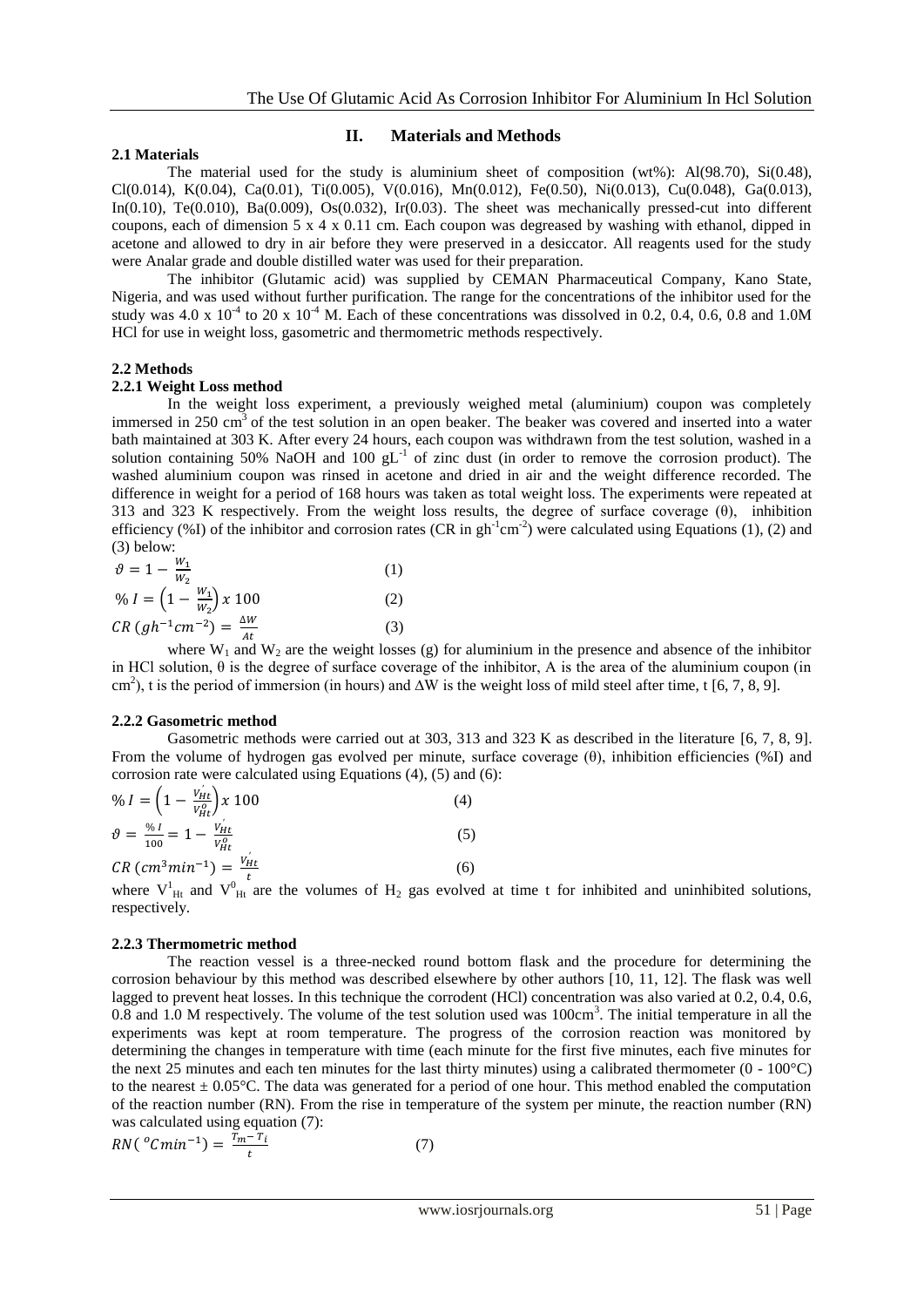# **2.1 Materials**

# **II. Materials and Methods**

The material used for the study is aluminium sheet of composition (wt%):  $A(98.70)$ ,  $S(0.48)$ , Cl(0.014), K(0.04), Ca(0.01), Ti(0.005), V(0.016), Mn(0.012), Fe(0.50), Ni(0.013), Cu(0.048), Ga(0.013), In(0.10), Te(0.010), Ba(0.009), Os(0.032), Ir(0.03). The sheet was mechanically pressed-cut into different coupons, each of dimension 5 x 4 x 0.11 cm. Each coupon was degreased by washing with ethanol, dipped in acetone and allowed to dry in air before they were preserved in a desiccator. All reagents used for the study were Analar grade and double distilled water was used for their preparation.

The inhibitor (Glutamic acid) was supplied by CEMAN Pharmaceutical Company, Kano State, Nigeria, and was used without further purification. The range for the concentrations of the inhibitor used for the study was 4.0 x  $10^{-4}$  to 20 x  $10^{-4}$  M. Each of these concentrations was dissolved in 0.2, 0.4, 0.6, 0.8 and 1.0M HCl for use in weight loss, gasometric and thermometric methods respectively.

# **2.2 Methods**

# **2.2.1 Weight Loss method**

In the weight loss experiment, a previously weighed metal (aluminium) coupon was completely immersed in 250 cm<sup>3</sup> of the test solution in an open beaker. The beaker was covered and inserted into a water bath maintained at 303 K. After every 24 hours, each coupon was withdrawn from the test solution, washed in a solution containing 50% NaOH and 100  $gL^{-1}$  of zinc dust (in order to remove the corrosion product). The washed aluminium coupon was rinsed in acetone and dried in air and the weight difference recorded. The difference in weight for a period of 168 hours was taken as total weight loss. The experiments were repeated at 313 and 323 K respectively. From the weight loss results, the degree of surface coverage (θ), inhibition efficiency (%I) of the inhibitor and corrosion rates (CR in  $gh^{-1}cm^{-2}$ ) were calculated using Equations (1), (2) and (3) below:

$$
\vartheta = 1 - \frac{w_1}{w_2}
$$
(1)  
\n
$$
\vartheta_0 I = \left(1 - \frac{w_1}{w_2}\right) x 100
$$
(2)  
\n
$$
CR\left(gh^{-1}cm^{-2}\right) = \frac{\Delta W}{At}
$$
(3)

where  $W_1$  and  $W_2$  are the weight losses (g) for aluminium in the presence and absence of the inhibitor in HCl solution,  $\theta$  is the degree of surface coverage of the inhibitor, A is the area of the aluminium coupon (in cm<sup>2</sup>), t is the period of immersion (in hours) and  $\Delta W$  is the weight loss of mild steel after time, t [6, 7, 8, 9].

# **2.2.2 Gasometric method**

Gasometric methods were carried out at 303, 313 and 323 K as described in the literature [6, 7, 8, 9]. From the volume of hydrogen gas evolved per minute, surface coverage (θ), inhibition efficiencies (%I) and corrosion rate were calculated using Equations (4), (5) and (6):

$$
\% I = \left(1 - \frac{v_{Ht}'}{v_{Ht}^0}\right) x \ 100
$$
\n
$$
\theta = \frac{\% I}{100} = 1 - \frac{v_{Ht}'}{v_{Ht}^0}
$$
\n
$$
CR\left(cm^3 \min^{-1}\right) = \frac{v_{Ht}'}{t}
$$
\n(6)

where  $V_{Ht}^1$  and  $V_{Ht}^0$  are the volumes of H<sub>2</sub> gas evolved at time t for inhibited and uninhibited solutions, respectively.

# **2.2.3 Thermometric method**

The reaction vessel is a three-necked round bottom flask and the procedure for determining the corrosion behaviour by this method was described elsewhere by other authors [10, 11, 12]. The flask was well lagged to prevent heat losses. In this technique the corrodent (HCl) concentration was also varied at 0.2, 0.4, 0.6,  $0.8$  and  $1.0$  M respectively. The volume of the test solution used was  $100 \text{cm}^3$ . The initial temperature in all the experiments was kept at room temperature. The progress of the corrosion reaction was monitored by determining the changes in temperature with time (each minute for the first five minutes, each five minutes for the next 25 minutes and each ten minutes for the last thirty minutes) using a calibrated thermometer (0 - 100°C) to the nearest  $\pm$  0.05 $^{\circ}$ C. The data was generated for a period of one hour. This method enabled the computation of the reaction number (RN). From the rise in temperature of the system per minute, the reaction number (RN) was calculated using equation (7):

$$
RN(^{o}Cmin^{-1}) = \frac{\overline{r}_{m} - \overline{r}_{i}}{t} \tag{7}
$$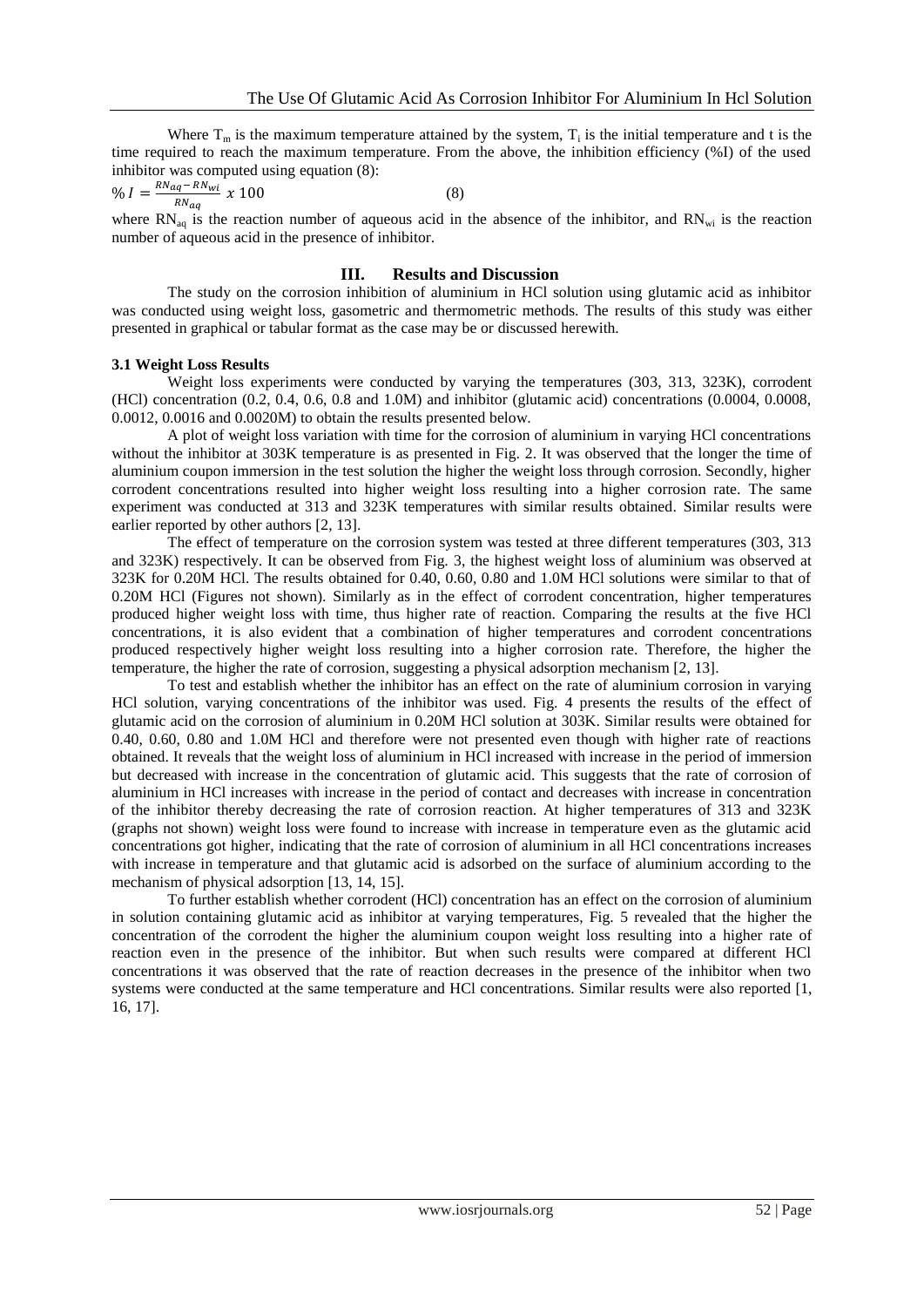Where  $T_m$  is the maximum temperature attained by the system,  $T_i$  is the initial temperature and t is the time required to reach the maximum temperature. From the above, the inhibition efficiency (%I) of the used inhibitor was computed using equation (8):

$$
\% I = \frac{RN_{aq} - RN_{wi}}{RN_{aq}} \times 100
$$
 (8)

where  $RN_{aq}$  is the reaction number of aqueous acid in the absence of the inhibitor, and  $RN_{wi}$  is the reaction number of aqueous acid in the presence of inhibitor.

### **III. Results and Discussion**

The study on the corrosion inhibition of aluminium in HCl solution using glutamic acid as inhibitor was conducted using weight loss, gasometric and thermometric methods. The results of this study was either presented in graphical or tabular format as the case may be or discussed herewith.

### **3.1 Weight Loss Results**

Weight loss experiments were conducted by varying the temperatures (303, 313, 323K), corrodent (HCl) concentration (0.2, 0.4, 0.6, 0.8 and 1.0M) and inhibitor (glutamic acid) concentrations (0.0004, 0.0008, 0.0012, 0.0016 and 0.0020M) to obtain the results presented below.

A plot of weight loss variation with time for the corrosion of aluminium in varying HCl concentrations without the inhibitor at 303K temperature is as presented in Fig. 2. It was observed that the longer the time of aluminium coupon immersion in the test solution the higher the weight loss through corrosion. Secondly, higher corrodent concentrations resulted into higher weight loss resulting into a higher corrosion rate. The same experiment was conducted at 313 and 323K temperatures with similar results obtained. Similar results were earlier reported by other authors [2, 13].

The effect of temperature on the corrosion system was tested at three different temperatures (303, 313 and 323K) respectively. It can be observed from Fig. 3, the highest weight loss of aluminium was observed at 323K for 0.20M HCl. The results obtained for 0.40, 0.60, 0.80 and 1.0M HCl solutions were similar to that of 0.20M HCl (Figures not shown). Similarly as in the effect of corrodent concentration, higher temperatures produced higher weight loss with time, thus higher rate of reaction. Comparing the results at the five HCl concentrations, it is also evident that a combination of higher temperatures and corrodent concentrations produced respectively higher weight loss resulting into a higher corrosion rate. Therefore, the higher the temperature, the higher the rate of corrosion, suggesting a physical adsorption mechanism [2, 13].

To test and establish whether the inhibitor has an effect on the rate of aluminium corrosion in varying HCl solution, varying concentrations of the inhibitor was used. Fig. 4 presents the results of the effect of glutamic acid on the corrosion of aluminium in 0.20M HCl solution at 303K. Similar results were obtained for 0.40, 0.60, 0.80 and 1.0M HCl and therefore were not presented even though with higher rate of reactions obtained. It reveals that the weight loss of aluminium in HCl increased with increase in the period of immersion but decreased with increase in the concentration of glutamic acid. This suggests that the rate of corrosion of aluminium in HCl increases with increase in the period of contact and decreases with increase in concentration of the inhibitor thereby decreasing the rate of corrosion reaction. At higher temperatures of 313 and 323K (graphs not shown) weight loss were found to increase with increase in temperature even as the glutamic acid concentrations got higher, indicating that the rate of corrosion of aluminium in all HCl concentrations increases with increase in temperature and that glutamic acid is adsorbed on the surface of aluminium according to the mechanism of physical adsorption [13, 14, 15].

To further establish whether corrodent (HCl) concentration has an effect on the corrosion of aluminium in solution containing glutamic acid as inhibitor at varying temperatures, Fig. 5 revealed that the higher the concentration of the corrodent the higher the aluminium coupon weight loss resulting into a higher rate of reaction even in the presence of the inhibitor. But when such results were compared at different HCl concentrations it was observed that the rate of reaction decreases in the presence of the inhibitor when two systems were conducted at the same temperature and HCl concentrations. Similar results were also reported [1, 16, 17].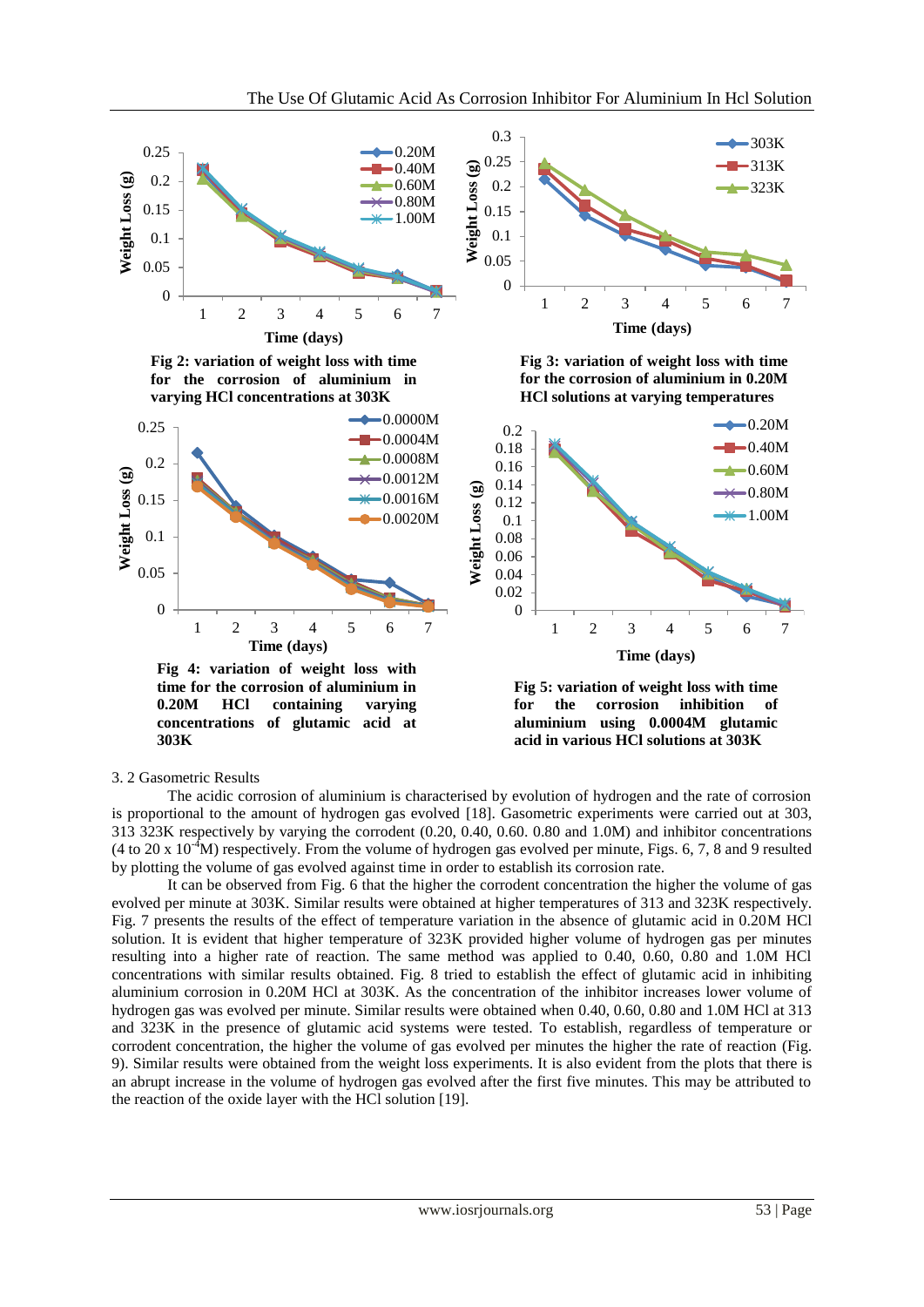

#### 3. 2 Gasometric Results

The acidic corrosion of aluminium is characterised by evolution of hydrogen and the rate of corrosion is proportional to the amount of hydrogen gas evolved [18]. Gasometric experiments were carried out at 303, 313 323K respectively by varying the corrodent (0.20, 0.40, 0.60. 0.80 and 1.0M) and inhibitor concentrations (4 to 20 x  $10^{-4}$ M) respectively. From the volume of hydrogen gas evolved per minute, Figs. 6, 7, 8 and 9 resulted by plotting the volume of gas evolved against time in order to establish its corrosion rate.

It can be observed from Fig. 6 that the higher the corrodent concentration the higher the volume of gas evolved per minute at 303K. Similar results were obtained at higher temperatures of 313 and 323K respectively. Fig. 7 presents the results of the effect of temperature variation in the absence of glutamic acid in 0.20M HCl solution. It is evident that higher temperature of 323K provided higher volume of hydrogen gas per minutes resulting into a higher rate of reaction. The same method was applied to 0.40, 0.60, 0.80 and 1.0M HCl concentrations with similar results obtained. Fig. 8 tried to establish the effect of glutamic acid in inhibiting aluminium corrosion in 0.20M HCl at 303K. As the concentration of the inhibitor increases lower volume of hydrogen gas was evolved per minute. Similar results were obtained when 0.40, 0.60, 0.80 and 1.0M HCl at 313 and 323K in the presence of glutamic acid systems were tested. To establish, regardless of temperature or corrodent concentration, the higher the volume of gas evolved per minutes the higher the rate of reaction (Fig. 9). Similar results were obtained from the weight loss experiments. It is also evident from the plots that there is an abrupt increase in the volume of hydrogen gas evolved after the first five minutes. This may be attributed to the reaction of the oxide layer with the HCl solution [19].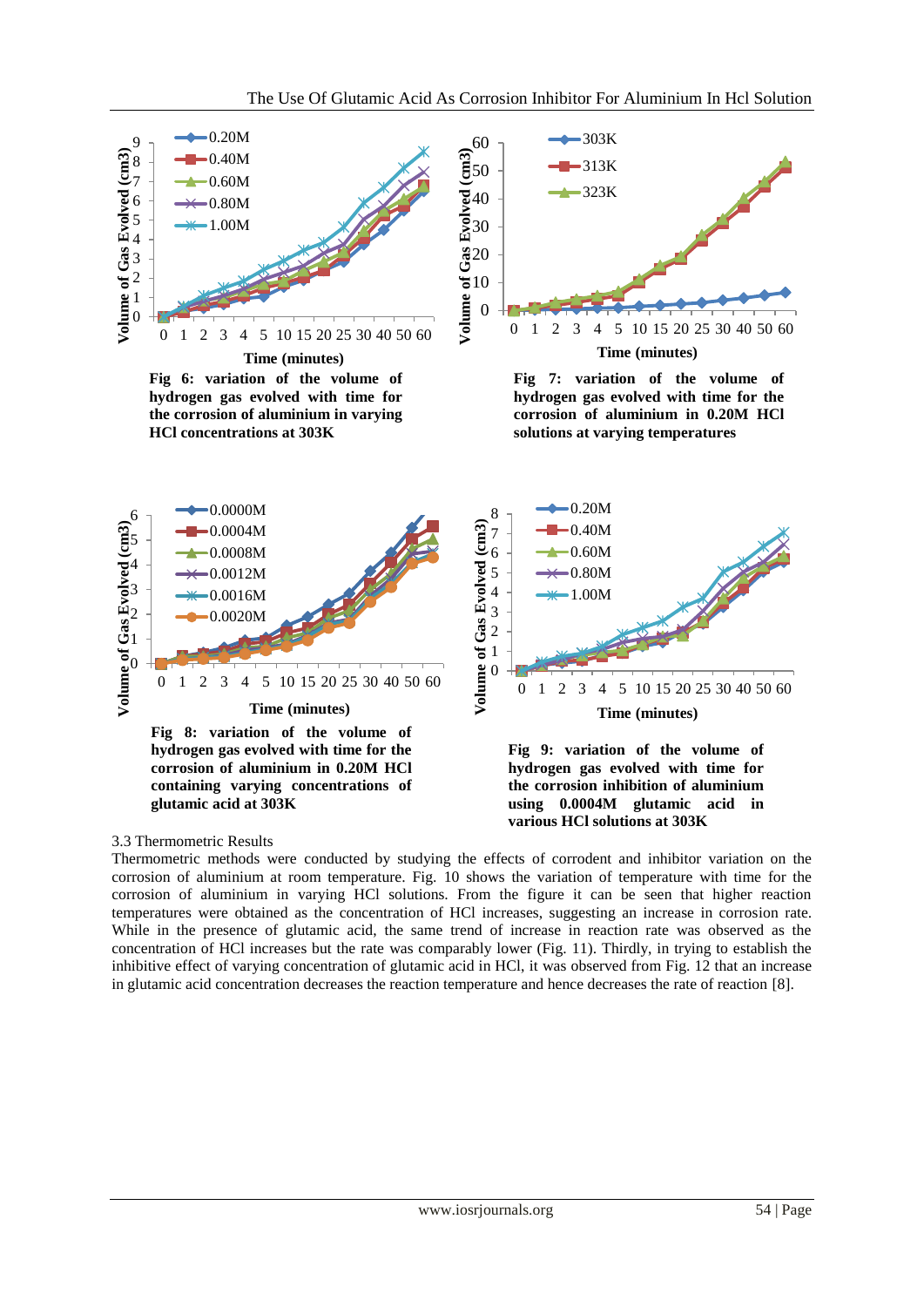

# 3.3 Thermometric Results

Thermometric methods were conducted by studying the effects of corrodent and inhibitor variation on the corrosion of aluminium at room temperature. Fig. 10 shows the variation of temperature with time for the corrosion of aluminium in varying HCl solutions. From the figure it can be seen that higher reaction temperatures were obtained as the concentration of HCl increases, suggesting an increase in corrosion rate. While in the presence of glutamic acid, the same trend of increase in reaction rate was observed as the concentration of HCl increases but the rate was comparably lower (Fig. 11). Thirdly, in trying to establish the inhibitive effect of varying concentration of glutamic acid in HCl, it was observed from Fig. 12 that an increase in glutamic acid concentration decreases the reaction temperature and hence decreases the rate of reaction [8].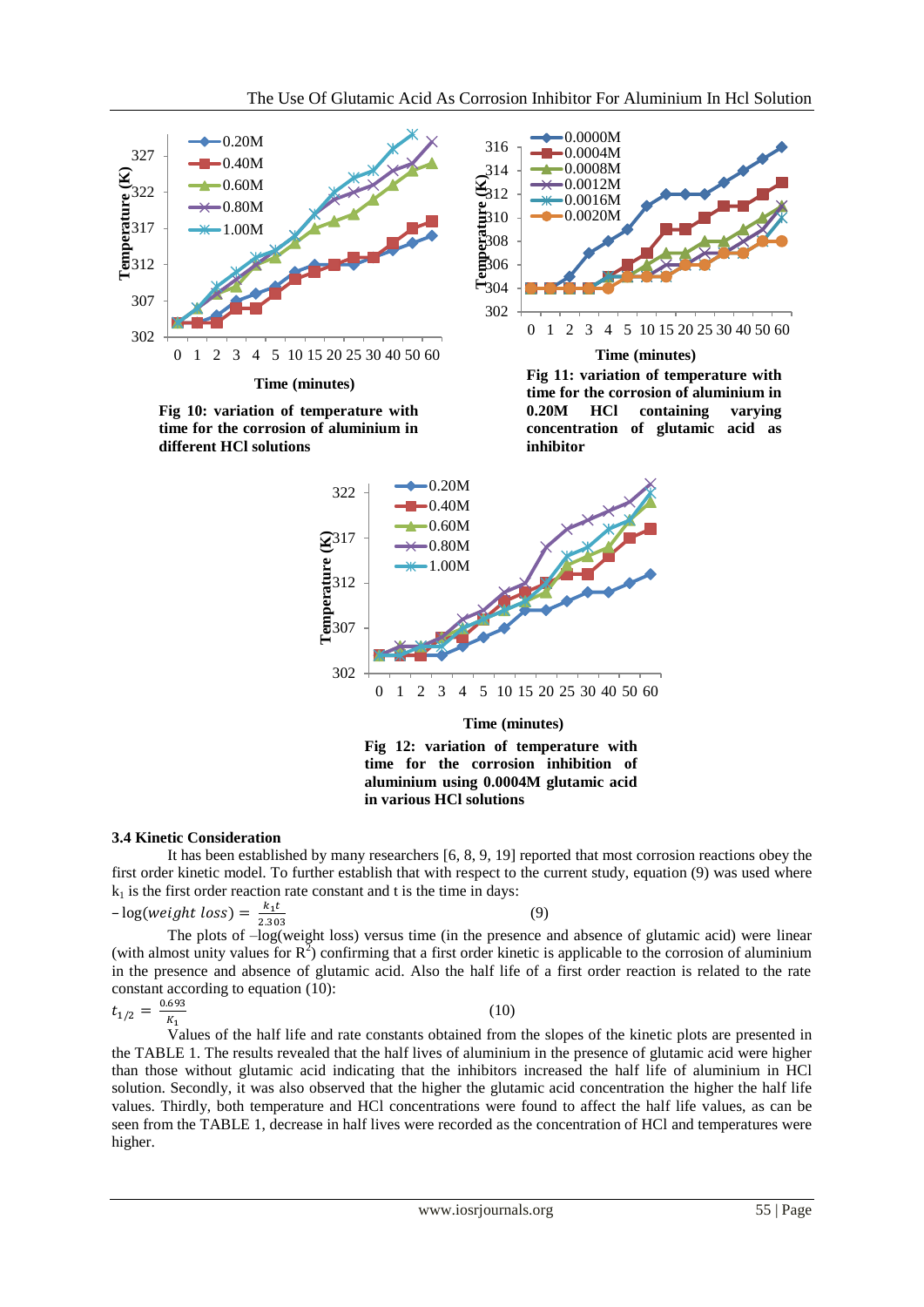

**time for the corrosion inhibition of aluminium using 0.0004M glutamic acid in various HCl solutions**

# **3.4 Kinetic Consideration**

It has been established by many researchers [6, 8, 9, 19] reported that most corrosion reactions obey the first order kinetic model. To further establish that with respect to the current study, equation (9) was used where  $k_1$  is the first order reaction rate constant and t is the time in days:

$$
-\log(weight \text{ loss}) = \frac{k_1 t}{2.303} \tag{9}
$$

The plots of  $-\log$  (weight loss) versus time (in the presence and absence of glutamic acid) were linear (with almost unity values for  $R^2$ ) confirming that a first order kinetic is applicable to the corrosion of aluminium in the presence and absence of glutamic acid. Also the half life of a first order reaction is related to the rate constant according to equation (10):

$$
t_{1/2} = \frac{0.693}{K_1} \tag{10}
$$

Values of the half life and rate constants obtained from the slopes of the kinetic plots are presented in the TABLE 1. The results revealed that the half lives of aluminium in the presence of glutamic acid were higher than those without glutamic acid indicating that the inhibitors increased the half life of aluminium in HCl solution. Secondly, it was also observed that the higher the glutamic acid concentration the higher the half life values. Thirdly, both temperature and HCl concentrations were found to affect the half life values, as can be seen from the TABLE 1, decrease in half lives were recorded as the concentration of HCl and temperatures were higher.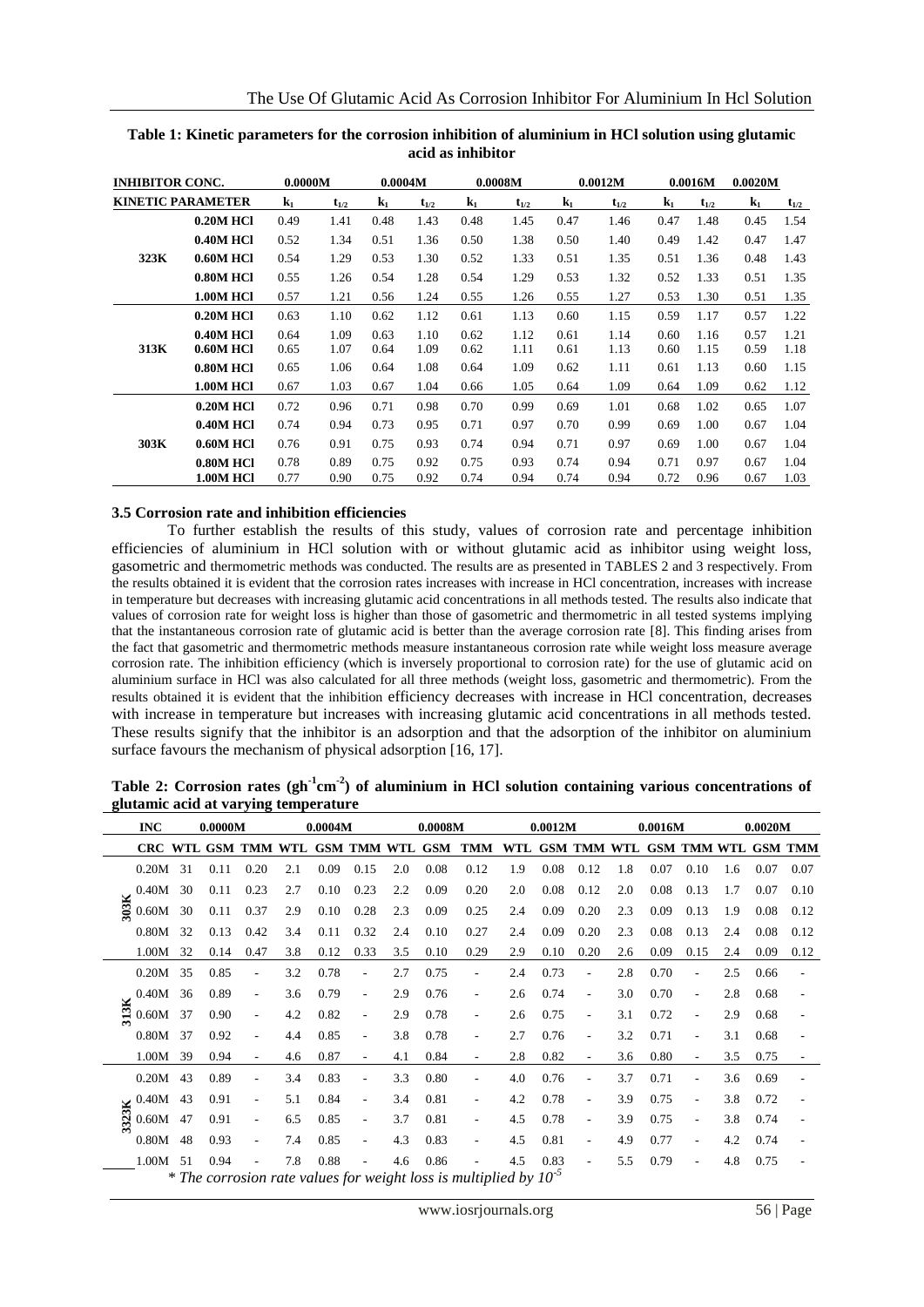| <b>INHIBITOR CONC.</b> |                          | 0.0000M        |           | 0.0004M |           |                | 0.0008M   |                | 0.0012M   |                | 0.0016M   | 0.0020M        |           |
|------------------------|--------------------------|----------------|-----------|---------|-----------|----------------|-----------|----------------|-----------|----------------|-----------|----------------|-----------|
|                        | <b>KINETIC PARAMETER</b> | $\mathbf{k}_1$ | $t_{1/2}$ | $k_1$   | $t_{1/2}$ | $\mathbf{k}_1$ | $t_{1/2}$ | k <sub>1</sub> | $t_{1/2}$ | $\mathbf{k}_1$ | $t_{1/2}$ | $\mathbf{k}_1$ | $t_{1/2}$ |
|                        | <b>0.20M HCl</b>         | 0.49           | 1.41      | 0.48    | 1.43      | 0.48           | 1.45      | 0.47           | 1.46      | 0.47           | 1.48      | 0.45           | 1.54      |
|                        | <b>0.40M HCl</b>         | 0.52           | 1.34      | 0.51    | 1.36      | 0.50           | 1.38      | 0.50           | 1.40      | 0.49           | 1.42      | 0.47           | 1.47      |
| 323K                   | <b>0.60M HCI</b>         | 0.54           | 1.29      | 0.53    | 1.30      | 0.52           | 1.33      | 0.51           | 1.35      | 0.51           | 1.36      | 0.48           | 1.43      |
|                        | <b>0.80M HCI</b>         | 0.55           | 1.26      | 0.54    | 1.28      | 0.54           | 1.29      | 0.53           | 1.32      | 0.52           | 1.33      | 0.51           | 1.35      |
|                        | <b>1.00M HCl</b>         | 0.57           | 1.21      | 0.56    | 1.24      | 0.55           | 1.26      | 0.55           | 1.27      | 0.53           | 1.30      | 0.51           | 1.35      |
|                        | <b>0.20M HCl</b>         | 0.63           | 1.10      | 0.62    | 1.12      | 0.61           | 1.13      | 0.60           | 1.15      | 0.59           | 1.17      | 0.57           | 1.22      |
|                        | <b>0.40M HCl</b>         | 0.64           | 1.09      | 0.63    | 1.10      | 0.62           | 1.12      | 0.61           | 1.14      | 0.60           | 1.16      | 0.57           | 1.21      |
| 313K                   | <b>0.60M HCI</b>         | 0.65           | 1.07      | 0.64    | 1.09      | 0.62           | 1.11      | 0.61           | 1.13      | 0.60           | 1.15      | 0.59           | 1.18      |
|                        | 0.80M HCl                | 0.65           | 1.06      | 0.64    | 1.08      | 0.64           | 1.09      | 0.62           | 1.11      | 0.61           | 1.13      | 0.60           | 1.15      |
|                        | <b>1.00M HCl</b>         | 0.67           | 1.03      | 0.67    | 1.04      | 0.66           | 1.05      | 0.64           | 1.09      | 0.64           | 1.09      | 0.62           | 1.12      |
| 303K                   | <b>0.20M HCI</b>         | 0.72           | 0.96      | 0.71    | 0.98      | 0.70           | 0.99      | 0.69           | 1.01      | 0.68           | 1.02      | 0.65           | 1.07      |
|                        | <b>0.40M HCl</b>         | 0.74           | 0.94      | 0.73    | 0.95      | 0.71           | 0.97      | 0.70           | 0.99      | 0.69           | 1.00      | 0.67           | 1.04      |
|                        | <b>0.60M HCI</b>         | 0.76           | 0.91      | 0.75    | 0.93      | 0.74           | 0.94      | 0.71           | 0.97      | 0.69           | 1.00      | 0.67           | 1.04      |
|                        | <b>0.80M HCI</b>         | 0.78           | 0.89      | 0.75    | 0.92      | 0.75           | 0.93      | 0.74           | 0.94      | 0.71           | 0.97      | 0.67           | 1.04      |
|                        | <b>1.00M HCl</b>         | 0.77           | 0.90      | 0.75    | 0.92      | 0.74           | 0.94      | 0.74           | 0.94      | 0.72           | 0.96      | 0.67           | 1.03      |

**Table 1: Kinetic parameters for the corrosion inhibition of aluminium in HCl solution using glutamic acid as inhibitor**

### **3.5 Corrosion rate and inhibition efficiencies**

To further establish the results of this study, values of corrosion rate and percentage inhibition efficiencies of aluminium in HCl solution with or without glutamic acid as inhibitor using weight loss, gasometric and thermometric methods was conducted. The results are as presented in TABLES 2 and 3 respectively. From the results obtained it is evident that the corrosion rates increases with increase in HCl concentration, increases with increase in temperature but decreases with increasing glutamic acid concentrations in all methods tested. The results also indicate that values of corrosion rate for weight loss is higher than those of gasometric and thermometric in all tested systems implying that the instantaneous corrosion rate of glutamic acid is better than the average corrosion rate [8]. This finding arises from the fact that gasometric and thermometric methods measure instantaneous corrosion rate while weight loss measure average corrosion rate. The inhibition efficiency (which is inversely proportional to corrosion rate) for the use of glutamic acid on aluminium surface in HCl was also calculated for all three methods (weight loss, gasometric and thermometric). From the results obtained it is evident that the inhibition efficiency decreases with increase in HCl concentration, decreases with increase in temperature but increases with increasing glutamic acid concentrations in all methods tested. These results signify that the inhibitor is an adsorption and that the adsorption of the inhibitor on aluminium surface favours the mechanism of physical adsorption [16, 17].

|      | <b>INC</b>                                |      | 0.0000M |                          |     | 0.0004M |                          |     | 0.0008M |                                                                             |     | 0.0012M |                          |     | 0.0016M |                          |     | 0.0020M |      |
|------|-------------------------------------------|------|---------|--------------------------|-----|---------|--------------------------|-----|---------|-----------------------------------------------------------------------------|-----|---------|--------------------------|-----|---------|--------------------------|-----|---------|------|
|      |                                           |      |         |                          |     |         |                          |     |         | CRC WTL GSM TMM WTL GSM TMM WTL GSM TMM WTL GSM TMM WTL GSM TMM WTL GSM TMM |     |         |                          |     |         |                          |     |         |      |
|      | 0.20M                                     | -31  | 0.11    | 0.20                     | 2.1 | 0.09    | 0.15                     | 2.0 | 0.08    | 0.12                                                                        | 1.9 | 0.08    | 0.12                     | 1.8 | 0.07    | 0.10                     | 1.6 | 0.07    | 0.07 |
|      | 0.40M                                     | 30   | 0.11    | 0.23                     | 2.7 | 0.10    | 0.23                     | 2.2 | 0.09    | 0.20                                                                        | 2.0 | 0.08    | 0.12                     | 2.0 | 0.08    | 0.13                     | 1.7 | 0.07    | 0.10 |
| 303K | 0.60M                                     | 30   | 0.11    | 0.37                     | 2.9 | 0.10    | 0.28                     | 2.3 | 0.09    | 0.25                                                                        | 2.4 | 0.09    | 0.20                     | 2.3 | 0.09    | 0.13                     | 1.9 | 0.08    | 0.12 |
|      | 0.80M                                     | 32   | 0.13    | 0.42                     | 3.4 | 0.11    | 0.32                     | 2.4 | 0.10    | 0.27                                                                        | 2.4 | 0.09    | 0.20                     | 2.3 | 0.08    | 0.13                     | 2.4 | 0.08    | 0.12 |
|      | 1.00M                                     | 32   | 0.14    | 0.47                     | 3.8 | 0.12    | 0.33                     | 3.5 | 0.10    | 0.29                                                                        | 2.9 | 0.10    | 0.20                     | 2.6 | 0.09    | 0.15                     | 2.4 | 0.09    | 0.12 |
|      | 0.20M                                     | 35   | 0.85    | ٠                        | 3.2 | 0.78    |                          | 2.7 | 0.75    |                                                                             | 2.4 | 0.73    |                          | 2.8 | 0.70    |                          | 2.5 | 0.66    |      |
|      | 0.40M                                     | - 36 | 0.89    | ٠                        | 3.6 | 0.79    | $\overline{\phantom{a}}$ | 2.9 | 0.76    |                                                                             | 2.6 | 0.74    |                          | 3.0 | 0.70    | $\sim$                   | 2.8 | 0.68    |      |
| 313K | 0.60M                                     | -37  | 0.90    | $\overline{\phantom{a}}$ | 4.2 | 0.82    |                          | 2.9 | 0.78    |                                                                             | 2.6 | 0.75    |                          | 3.1 | 0.72    |                          | 2.9 | 0.68    |      |
|      | 0.80M                                     | 37   | 0.92    | $\overline{\phantom{a}}$ | 4.4 | 0.85    | $\blacksquare$           | 3.8 | 0.78    |                                                                             | 2.7 | 0.76    | $\overline{\phantom{a}}$ | 3.2 | 0.71    | $\overline{\phantom{a}}$ | 3.1 | 0.68    |      |
|      | 1.00M                                     | 39   | 0.94    | $\blacksquare$           | 4.6 | 0.87    | $\overline{\phantom{a}}$ | 4.1 | 0.84    |                                                                             | 2.8 | 0.82    |                          | 3.6 | 0.80    | $\overline{\phantom{a}}$ | 3.5 | 0.75    |      |
|      | 0.20M                                     | 43   | 0.89    | $\overline{\phantom{0}}$ | 3.4 | 0.83    |                          | 3.3 | 0.80    |                                                                             | 4.0 | 0.76    |                          | 3.7 | 0.71    |                          | 3.6 | 0.69    |      |
|      |                                           | 43   | 0.91    | $\overline{\phantom{a}}$ | 5.1 | 0.84    | $\overline{a}$           | 3.4 | 0.81    |                                                                             | 4.2 | 0.78    |                          | 3.9 | 0.75    |                          | 3.8 | 0.72    |      |
|      | $\sum_{n=0}^{\infty} \frac{0.40M}{0.60M}$ | 47   | 0.91    | $\overline{\phantom{a}}$ | 6.5 | 0.85    | $\blacksquare$           | 3.7 | 0.81    |                                                                             | 4.5 | 0.78    |                          | 3.9 | 0.75    | $\overline{\phantom{a}}$ | 3.8 | 0.74    |      |
|      | 0.80M                                     | 48   | 0.93    | $\blacksquare$           | 7.4 | 0.85    | $\overline{\phantom{a}}$ | 4.3 | 0.83    |                                                                             | 4.5 | 0.81    | $\overline{\phantom{a}}$ | 4.9 | 0.77    | $\overline{\phantom{a}}$ | 4.2 | 0.74    |      |
|      | 1.00M                                     | .51  | 0.94    |                          | 7.8 | 0.88    |                          | 4.6 | 0.86    |                                                                             | 4.5 | 0.83    |                          | 5.5 | 0.79    | $\overline{\phantom{a}}$ | 4.8 | 0.75    |      |
|      |                                           |      |         |                          |     |         |                          |     |         | * The corrosion rate values for weight loss is multiplied by $10^{-5}$      |     |         |                          |     |         |                          |     |         |      |

Table 2: Corrosion rates (gh<sup>-1</sup>cm<sup>-2</sup>) of aluminium in HCl solution containing various concentrations of **glutamic acid at varying temperature**

www.iosrjournals.org 56 | Page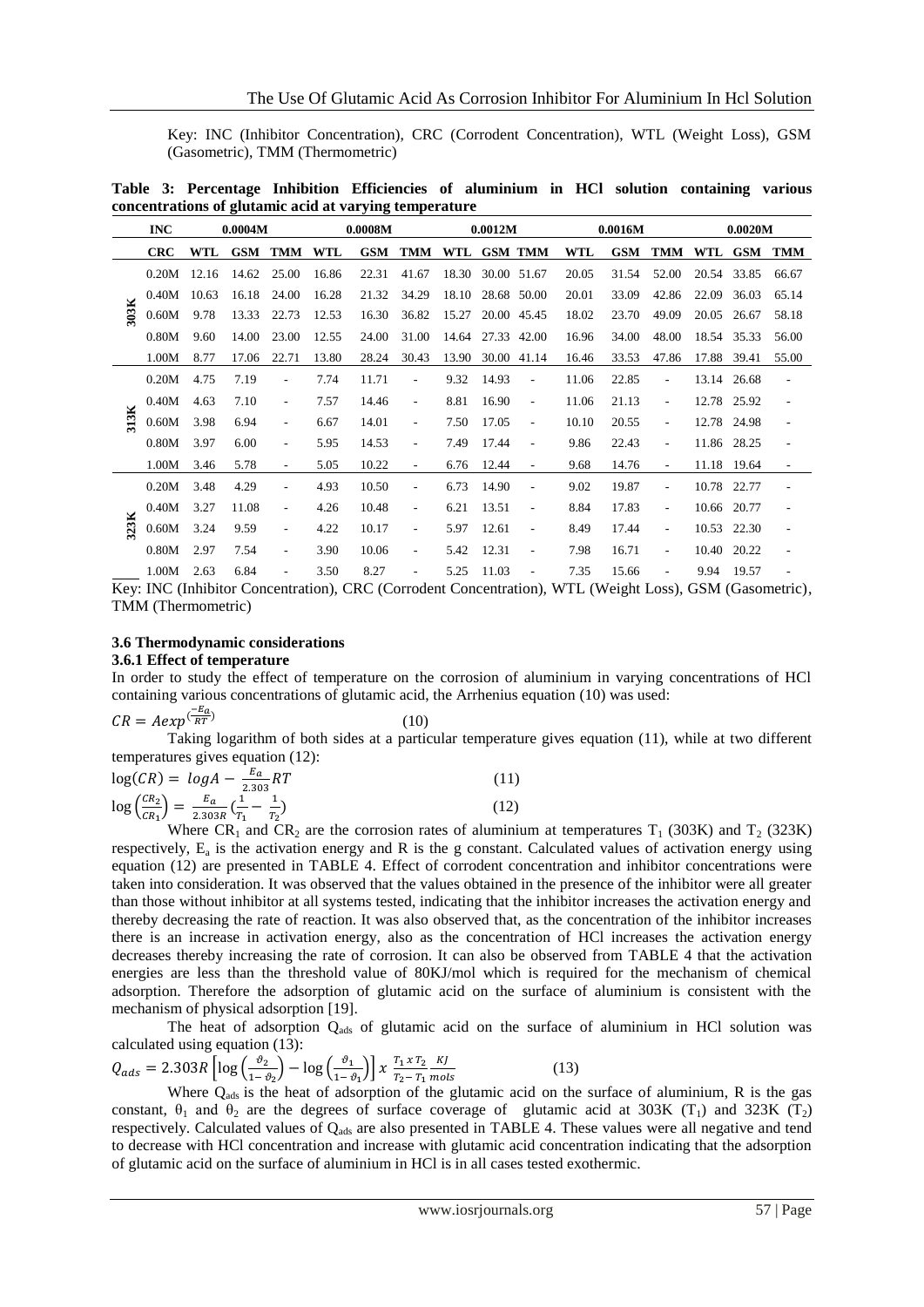Key: INC (Inhibitor Concentration), CRC (Corrodent Concentration), WTL (Weight Loss), GSM (Gasometric), TMM (Thermometric)

**Table 3: Percentage Inhibition Efficiencies of aluminium in HCl solution containing various concentrations of glutamic acid at varying temperature**

|      | <b>INC</b> |       | 0.0004M    |                          |            | 0.0008M    |                              |       | 0.0012M     |                          |       | 0.0016M    |                          |       | 0.0020M     |                          |
|------|------------|-------|------------|--------------------------|------------|------------|------------------------------|-------|-------------|--------------------------|-------|------------|--------------------------|-------|-------------|--------------------------|
|      | <b>CRC</b> | WTL   | <b>GSM</b> | TMM                      | <b>WTL</b> | <b>GSM</b> | <b>TMM</b>                   | WTL   |             | <b>GSM TMM</b>           | WTL   | <b>GSM</b> | <b>TMM</b>               | WTL   | <b>GSM</b>  | <b>TMM</b>               |
|      | 0.20M      | 12.16 | 14.62      | 25.00                    | 16.86      | 22.31      | 41.67                        | 18.30 |             | 30.00 51.67              | 20.05 | 31.54      | 52.00                    | 20.54 | 33.85       | 66.67                    |
|      | 0.40M      | 10.63 | 16.18      | 24.00                    | 16.28      | 21.32      | 34.29                        | 18.10 |             | 28.68 50.00              | 20.01 | 33.09      | 42.86                    | 22.09 | 36.03       | 65.14                    |
| 303K | 0.60M      | 9.78  | 13.33      | 22.73                    | 12.53      | 16.30      | 36.82                        | 15.27 |             | 20.00 45.45              | 18.02 | 23.70      | 49.09                    | 20.05 | 26.67       | 58.18                    |
|      | 0.80M      | 9.60  | 14.00      | 23.00                    | 12.55      | 24.00      | 31.00                        | 14.64 | 27.33 42.00 |                          | 16.96 | 34.00      | 48.00                    |       | 18.54 35.33 | 56.00                    |
|      | 1.00M      | 8.77  | 17.06      | 22.71                    | 13.80      | 28.24      | 30.43                        | 13.90 | 30.00       | 41.14                    | 16.46 | 33.53      | 47.86                    | 17.88 | 39.41       | 55.00                    |
|      | 0.20M      | 4.75  | 7.19       | $\overline{\phantom{a}}$ | 7.74       | 11.71      | $\overline{\phantom{a}}$     | 9.32  | 14.93       | $\overline{\phantom{a}}$ | 11.06 | 22.85      | ٠                        | 13.14 | 26.68       | $\overline{\phantom{a}}$ |
|      | 0.40M      | 4.63  | 7.10       | $\overline{\phantom{a}}$ | 7.57       | 14.46      | $\qquad \qquad \blacksquare$ | 8.81  | 16.90       | $\overline{\phantom{a}}$ | 11.06 | 21.13      | $\overline{\phantom{a}}$ |       | 12.78 25.92 | $\overline{\phantom{a}}$ |
| 313K | 0.60M      | 3.98  | 6.94       | $\overline{\phantom{a}}$ | 6.67       | 14.01      | $\overline{\phantom{a}}$     | 7.50  | 17.05       | $\overline{\phantom{a}}$ | 10.10 | 20.55      | $\overline{\phantom{a}}$ |       | 12.78 24.98 | $\overline{\phantom{a}}$ |
|      | 0.80M      | 3.97  | 6.00       | $\overline{\phantom{a}}$ | 5.95       | 14.53      | $\overline{\phantom{a}}$     | 7.49  | 17.44       | $\overline{\phantom{a}}$ | 9.86  | 22.43      | $\overline{\phantom{a}}$ | 11.86 | 28.25       | $\overline{\phantom{a}}$ |
|      | 1.00M      | 3.46  | 5.78       | $\overline{\phantom{a}}$ | 5.05       | 10.22      | $\overline{\phantom{a}}$     | 6.76  | 12.44       | ٠                        | 9.68  | 14.76      | $\overline{\phantom{a}}$ |       | 11.18 19.64 | $\overline{\phantom{a}}$ |
|      | 0.20M      | 3.48  | 4.29       | $\overline{\phantom{a}}$ | 4.93       | 10.50      | $\overline{a}$               | 6.73  | 14.90       | $\overline{\phantom{a}}$ | 9.02  | 19.87      | $\overline{\phantom{a}}$ | 10.78 | 22.77       | $\overline{\phantom{a}}$ |
|      | 0.40M      | 3.27  | 11.08      | $\overline{\phantom{a}}$ | 4.26       | 10.48      | $\overline{\phantom{a}}$     | 6.21  | 13.51       | $\overline{\phantom{a}}$ | 8.84  | 17.83      | $\overline{\phantom{a}}$ | 10.66 | 20.77       | $\overline{\phantom{a}}$ |
| 323K | 0.60M      | 3.24  | 9.59       | $\overline{\phantom{a}}$ | 4.22       | 10.17      | $\overline{a}$               | 5.97  | 12.61       | $\overline{\phantom{a}}$ | 8.49  | 17.44      | $\overline{\phantom{a}}$ | 10.53 | 22.30       | $\overline{\phantom{a}}$ |
|      | 0.80M      | 2.97  | 7.54       | $\overline{\phantom{a}}$ | 3.90       | 10.06      | $\overline{\phantom{a}}$     | 5.42  | 12.31       | $\overline{\phantom{a}}$ | 7.98  | 16.71      | $\overline{\phantom{a}}$ | 10.40 | 20.22       | $\overline{\phantom{a}}$ |
|      | 1.00M      | 2.63  | 6.84       |                          | 3.50       | 8.27       | $\overline{\phantom{a}}$     | 5.25  | 11.03       | ٠                        | 7.35  | 15.66      |                          | 9.94  | 19.57       |                          |

Key: INC (Inhibitor Concentration), CRC (Corrodent Concentration), WTL (Weight Loss), GSM (Gasometric), TMM (Thermometric)

# **3.6 Thermodynamic considerations**

# **3.6.1 Effect of temperature**

In order to study the effect of temperature on the corrosion of aluminium in varying concentrations of HCl containing various concentrations of glutamic acid, the Arrhenius equation (10) was used:

$$
CR = A exp^{(\frac{-E_a}{RT})}
$$

Taking logarithm of both sides at a particular temperature gives equation (11), while at two different temperatures gives equation (12):

(10)

| $\log(CR) = logA - \frac{E_a}{2.303}RT$                                                             |  |
|-----------------------------------------------------------------------------------------------------|--|
| $\log\left(\frac{CR_2}{CR_1}\right) = \frac{E_a}{2.303R}\left(\frac{1}{T_1} - \frac{1}{T_2}\right)$ |  |

Where CR<sub>1</sub> and CR<sub>2</sub> are the corrosion rates of aluminium at temperatures T<sub>1</sub> (303K) and T<sub>2</sub> (323K) respectively,  $E_a$  is the activation energy and R is the g constant. Calculated values of activation energy using equation (12) are presented in TABLE 4. Effect of corrodent concentration and inhibitor concentrations were taken into consideration. It was observed that the values obtained in the presence of the inhibitor were all greater than those without inhibitor at all systems tested, indicating that the inhibitor increases the activation energy and thereby decreasing the rate of reaction. It was also observed that, as the concentration of the inhibitor increases there is an increase in activation energy, also as the concentration of HCl increases the activation energy decreases thereby increasing the rate of corrosion. It can also be observed from TABLE 4 that the activation energies are less than the threshold value of 80KJ/mol which is required for the mechanism of chemical adsorption. Therefore the adsorption of glutamic acid on the surface of aluminium is consistent with the mechanism of physical adsorption [19].

The heat of adsorption  $Q_{ads}$  of glutamic acid on the surface of aluminium in HCl solution was calculated using equation (13):

$$
Q_{ads} = 2.303R \left[ \log \left( \frac{\vartheta_2}{1 - \vartheta_2} \right) - \log \left( \frac{\vartheta_1}{1 - \vartheta_1} \right) \right] x \frac{r_1 x r_2 K}{r_2 - r_1 \text{ mols}} \tag{13}
$$

Where  $Q_{ads}$  is the heat of adsorption of the glutamic acid on the surface of aluminium, R is the gas constant,  $\theta_1$  and  $\theta_2$  are the degrees of surface coverage of glutamic acid at 303K (T<sub>1</sub>) and 323K (T<sub>2</sub>) respectively. Calculated values of  $Q_{ads}$  are also presented in TABLE 4. These values were all negative and tend to decrease with HCl concentration and increase with glutamic acid concentration indicating that the adsorption of glutamic acid on the surface of aluminium in HCl is in all cases tested exothermic.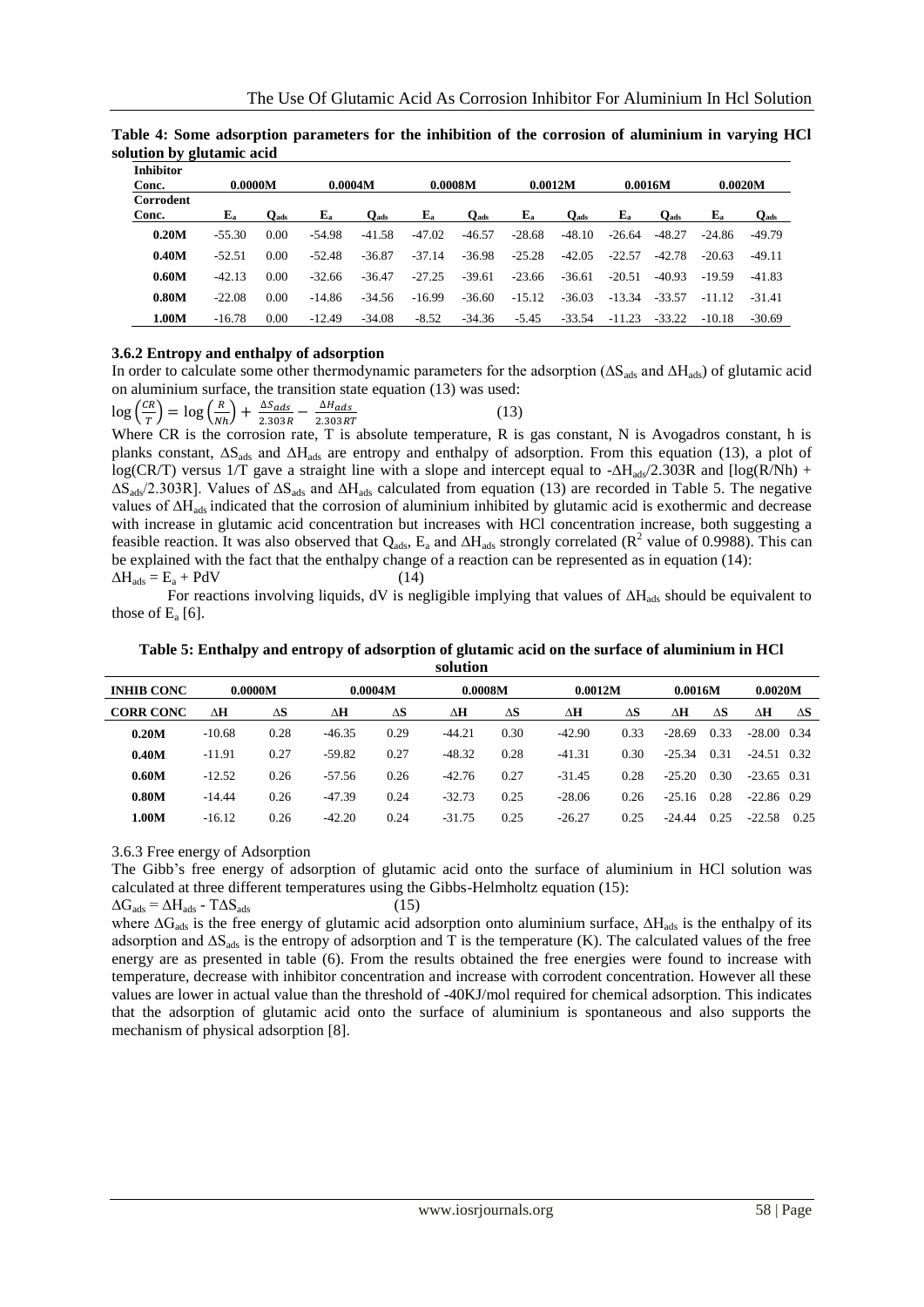| Inhibitor<br>Conc. | 0.0000M           |           |                   | 0.0004M   |             | 0.0008M   |             | 0.0012M   | 0.0016M     |           |                   | 0.0020M   |
|--------------------|-------------------|-----------|-------------------|-----------|-------------|-----------|-------------|-----------|-------------|-----------|-------------------|-----------|
| Corrodent<br>Conc. | ${\bf E}_{\bf a}$ | $Q_{ads}$ | ${\bf E}_{\bf a}$ | $Q_{ads}$ | ${\bf E_a}$ | $Q_{ads}$ | ${\bf E_a}$ | $Q_{ads}$ | ${\bf E_a}$ | $Q_{ads}$ | ${\bf E}_{\bf a}$ | $Q_{ads}$ |
| 0.20M              | $-55.30$          | 0.00      | $-54.98$          | $-41.58$  | $-47.02$    | $-46.57$  | $-28.68$    | $-48.10$  | $-26.64$    | $-48.27$  | -24.86            | -49.79    |
| 0.40M              | $-52.51$          | 0.00      | $-52.48$          | $-36.87$  | $-37.14$    | $-36.98$  | $-25.28$    | $-42.05$  | $-22.57$    | $-42.78$  | $-20.63$          | $-49.11$  |
| 0.60M              | $-42.13$          | 0.00      | $-32.66$          | $-36.47$  | $-27.25$    | $-39.61$  | $-23.66$    | $-36.61$  | $-20.51$    | $-40.93$  | $-19.59$          | $-41.83$  |
| 0.80M              | $-22.08$          | 0.00      | $-14.86$          | $-34.56$  | $-16.99$    | $-36.60$  | $-15.12$    | $-36.03$  | $-13.34$    | $-33.57$  | $-11.12$          | -31.41    |
| 1.00M              | $-16.78$          | 0.00      | $-12.49$          | $-34.08$  | $-8.52$     | $-34.36$  | $-5.45$     | $-33.54$  | $-11.23$    | $-33.22$  | -10.18            | $-30.69$  |

**Table 4: Some adsorption parameters for the inhibition of the corrosion of aluminium in varying HCl solution by glutamic acid**

# **3.6.2 Entropy and enthalpy of adsorption**

In order to calculate some other thermodynamic parameters for the adsorption (ΔS<sub>ads</sub> and ∆H<sub>ads</sub>) of glutamic acid on aluminium surface, the transition state equation (13) was used:

| $\log\left(\frac{CR}{T}\right) = \log\left(\frac{R}{Nh}\right) + \frac{\Delta S_{ads}}{2.303R} - \frac{\Delta H_{ads}}{2.303RT}$ |  |  |
|----------------------------------------------------------------------------------------------------------------------------------|--|--|
|                                                                                                                                  |  |  |

Where CR is the corrosion rate, T is absolute temperature, R is gas constant, N is Avogadros constant, h is planks constant, ∆S<sub>ads</sub> and ∆H<sub>ads</sub> are entropy and enthalpy of adsorption. From this equation (13), a plot of log(CR/T) versus 1/T gave a straight line with a slope and intercept equal to -∆H<sub>ads</sub>/2.303R and [log(R/Nh) + ∆Sads/2.303R]. Values of ∆Sads and ∆Hads calculated from equation (13) are recorded in Table 5. The negative values of ∆Hads indicated that the corrosion of aluminium inhibited by glutamic acid is exothermic and decrease with increase in glutamic acid concentration but increases with HCl concentration increase, both suggesting a feasible reaction. It was also observed that  $Q_{ads}$ ,  $E_a$  and  $\Delta H_{ads}$  strongly correlated ( $R^2$  value of 0.9988). This can be explained with the fact that the enthalpy change of a reaction can be represented as in equation (14):  $\Delta H_{ads} = E_a + PdV$  (14)

For reactions involving liquids, dV is negligible implying that values of ∆H<sub>ads</sub> should be equivalent to those of  $E_a$  [6].

**Table 5: Enthalpy and entropy of adsorption of glutamic acid on the surface of aluminium in HCl solution**

| <b>INHIB CONC</b> | 0.0000M  |      | 0.0004M  |      |          | 0.0008M    |          | 0.0012M | 0.0016M  |      | 0.0020M       |            |
|-------------------|----------|------|----------|------|----------|------------|----------|---------|----------|------|---------------|------------|
| <b>CORR CONC</b>  | ΔH       | ΔS   | ΔH       | ΔS   | ΔH       | $\Delta S$ | ΔH       | ΔS      | ΔH       | ΔS   | ΔН            | $\Delta S$ |
| 0.20M             | $-10.68$ | 0.28 | $-46.35$ | 0.29 | $-44.21$ | 0.30       | $-42.90$ | 0.33    | $-28.69$ | 0.33 | $-28.00$ 0.34 |            |
| 0.40M             | $-11.91$ | 0.27 | $-59.82$ | 0.27 | $-48.32$ | 0.28       | $-41.31$ | 0.30    | $-25.34$ | 0.31 | $-24.51$ 0.32 |            |
| 0.60M             | $-12.52$ | 0.26 | $-57.56$ | 0.26 | $-42.76$ | 0.27       | $-31.45$ | 0.28    | $-25.20$ | 0.30 | $-23.65$ 0.31 |            |
| 0.80M             | $-14.44$ | 0.26 | $-47.39$ | 0.24 | $-32.73$ | 0.25       | $-28.06$ | 0.26    | $-25.16$ | 0.28 | $-22.86$ 0.29 |            |
| 1.00M             | $-16.12$ | 0.26 | $-42.20$ | 0.24 | $-31.75$ | 0.25       | $-26.27$ | 0.25    | $-24.44$ | 0.25 | $-22.58$      | 0.25       |

3.6.3 Free energy of Adsorption

The Gibb's free energy of adsorption of glutamic acid onto the surface of aluminium in HCl solution was calculated at three different temperatures using the Gibbs-Helmholtz equation (15):

 $\Delta G_{ads} = \Delta H_{ads} - T \Delta S_{ads}$  (15)

where ∆G<sub>ads</sub> is the free energy of glutamic acid adsorption onto aluminium surface, ∆H<sub>ads</sub> is the enthalpy of its adsorption and ∆S<sub>ads</sub> is the entropy of adsorption and T is the temperature (K). The calculated values of the free energy are as presented in table (6). From the results obtained the free energies were found to increase with temperature, decrease with inhibitor concentration and increase with corrodent concentration. However all these values are lower in actual value than the threshold of -40KJ/mol required for chemical adsorption. This indicates that the adsorption of glutamic acid onto the surface of aluminium is spontaneous and also supports the mechanism of physical adsorption [8].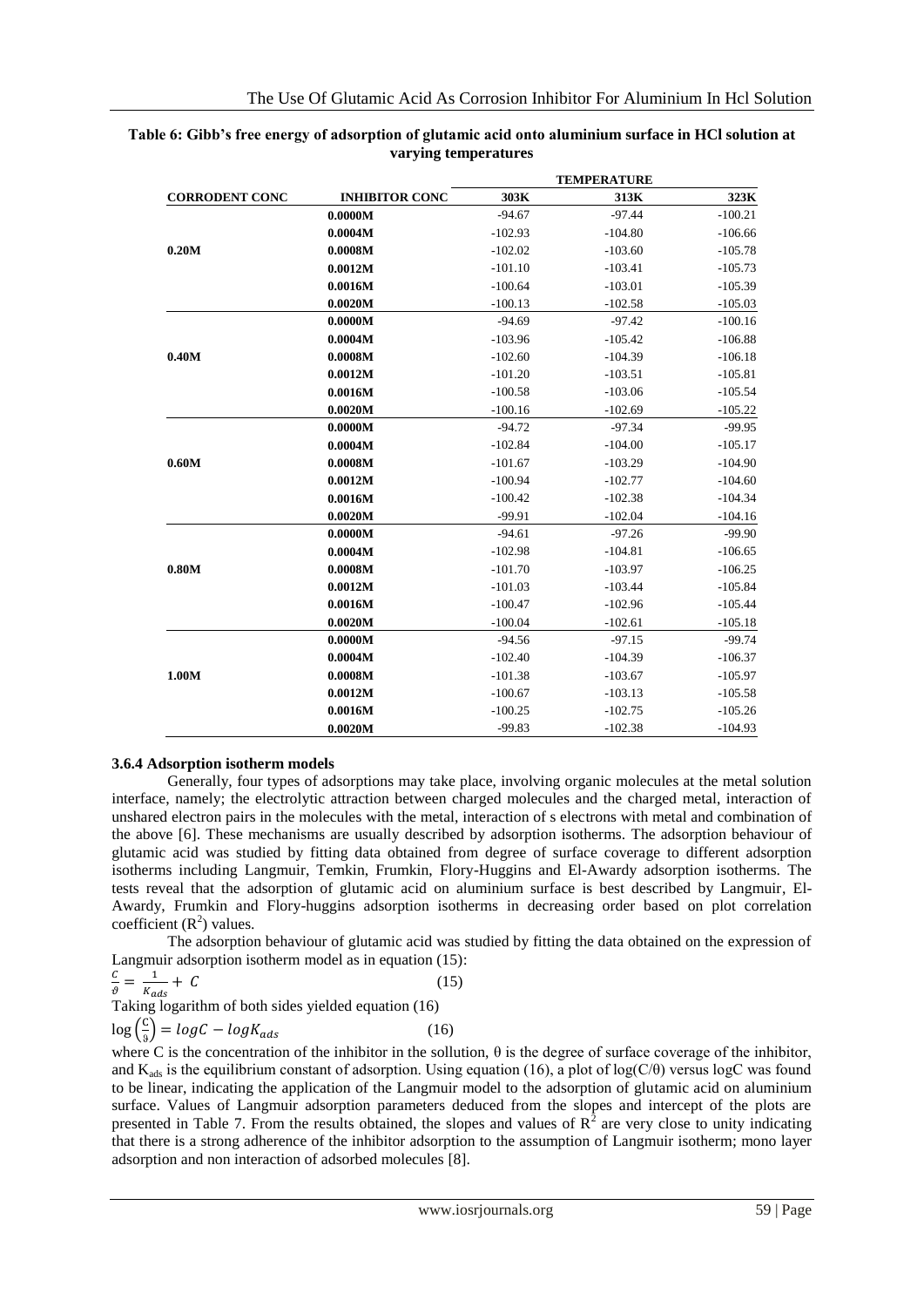|                       |                       | <b>TEMPERATURE</b> |           |           |  |  |  |  |
|-----------------------|-----------------------|--------------------|-----------|-----------|--|--|--|--|
| <b>CORRODENT CONC</b> | <b>INHIBITOR CONC</b> | 303K               | 313K      | 323K      |  |  |  |  |
|                       | 0.0000M               | $-94.67$           | $-97.44$  | $-100.21$ |  |  |  |  |
|                       | 0.0004M               | $-102.93$          | $-104.80$ | $-106.66$ |  |  |  |  |
| 0.20M                 | 0.0008M               | $-102.02$          | $-103.60$ | $-105.78$ |  |  |  |  |
|                       | 0.0012M               | $-101.10$          | $-103.41$ | $-105.73$ |  |  |  |  |
|                       | 0.0016M               | $-100.64$          | $-103.01$ | $-105.39$ |  |  |  |  |
|                       | 0.0020M               | $-100.13$          | $-102.58$ | $-105.03$ |  |  |  |  |
|                       | 0.0000M               | $-94.69$           | $-97.42$  | $-100.16$ |  |  |  |  |
|                       | 0.0004M               | $-103.96$          | $-105.42$ | $-106.88$ |  |  |  |  |
| 0.40M                 | 0.0008M               | $-102.60$          | $-104.39$ | $-106.18$ |  |  |  |  |
|                       | 0.0012M               | $-101.20$          | $-103.51$ | $-105.81$ |  |  |  |  |
|                       | 0.0016M               | $-100.58$          | $-103.06$ | $-105.54$ |  |  |  |  |
|                       | 0.0020M               | $-100.16$          | $-102.69$ | $-105.22$ |  |  |  |  |
|                       | 0.0000M               | $-94.72$           | $-97.34$  | $-99.95$  |  |  |  |  |
|                       | 0.0004M               | $-102.84$          | $-104.00$ | $-105.17$ |  |  |  |  |
| 0.60M                 | 0.0008M               | $-101.67$          | $-103.29$ | $-104.90$ |  |  |  |  |
|                       | 0.0012M               | $-100.94$          | $-102.77$ | $-104.60$ |  |  |  |  |
|                       | 0.0016M               | $-100.42$          | $-102.38$ | $-104.34$ |  |  |  |  |
|                       | 0.0020M               | $-99.91$           | $-102.04$ | $-104.16$ |  |  |  |  |
|                       | 0.0000M               | $-94.61$           | $-97.26$  | $-99.90$  |  |  |  |  |
|                       | 0.0004M               | $-102.98$          | $-104.81$ | $-106.65$ |  |  |  |  |
| 0.80M                 | 0.0008M               | $-101.70$          | $-103.97$ | $-106.25$ |  |  |  |  |
|                       | 0.0012M               | $-101.03$          | $-103.44$ | $-105.84$ |  |  |  |  |
|                       | 0.0016M               | $-100.47$          | $-102.96$ | $-105.44$ |  |  |  |  |
|                       | 0.0020M               | $-100.04$          | $-102.61$ | $-105.18$ |  |  |  |  |
|                       | 0.0000M               | $-94.56$           | $-97.15$  | $-99.74$  |  |  |  |  |
|                       | 0.0004M               | $-102.40$          | $-104.39$ | $-106.37$ |  |  |  |  |
| 1.00M                 | 0.0008M               | $-101.38$          | $-103.67$ | $-105.97$ |  |  |  |  |
|                       | 0.0012M               | $-100.67$          | $-103.13$ | $-105.58$ |  |  |  |  |
|                       | 0.0016M               | $-100.25$          | $-102.75$ | $-105.26$ |  |  |  |  |
|                       | 0.0020M               | $-99.83$           | $-102.38$ | $-104.93$ |  |  |  |  |

# **Table 6: Gibb's free energy of adsorption of glutamic acid onto aluminium surface in HCl solution at varying temperatures**

# **3.6.4 Adsorption isotherm models**

Generally, four types of adsorptions may take place, involving organic molecules at the metal solution interface, namely; the electrolytic attraction between charged molecules and the charged metal, interaction of unshared electron pairs in the molecules with the metal, interaction of s electrons with metal and combination of the above [6]. These mechanisms are usually described by adsorption isotherms. The adsorption behaviour of glutamic acid was studied by fitting data obtained from degree of surface coverage to different adsorption isotherms including Langmuir, Temkin, Frumkin, Flory-Huggins and El-Awardy adsorption isotherms. The tests reveal that the adsorption of glutamic acid on aluminium surface is best described by Langmuir, El-Awardy, Frumkin and Flory-huggins adsorption isotherms in decreasing order based on plot correlation coefficient  $(R^2)$  values.

The adsorption behaviour of glutamic acid was studied by fitting the data obtained on the expression of Langmuir adsorption isotherm model as in equation (15):

$$
\frac{c}{\vartheta} = \frac{1}{K_{ads}} + C
$$
 (15)  
Taking logarithm of both sides yielded equation (16)

 $\log\left(\frac{c}{a}\right)$  $\frac{c}{s}$ ) = logC – log $K_{ads}$  (16)

where C is the concentration of the inhibitor in the sollution,  $\theta$  is the degree of surface coverage of the inhibitor, and  $K_{ads}$  is the equilibrium constant of adsorption. Using equation (16), a plot of log(C/ $\theta$ ) versus logC was found to be linear, indicating the application of the Langmuir model to the adsorption of glutamic acid on aluminium surface. Values of Langmuir adsorption parameters deduced from the slopes and intercept of the plots are presented in Table 7. From the results obtained, the slopes and values of  $R^2$  are very close to unity indicating that there is a strong adherence of the inhibitor adsorption to the assumption of Langmuir isotherm; mono layer adsorption and non interaction of adsorbed molecules [8].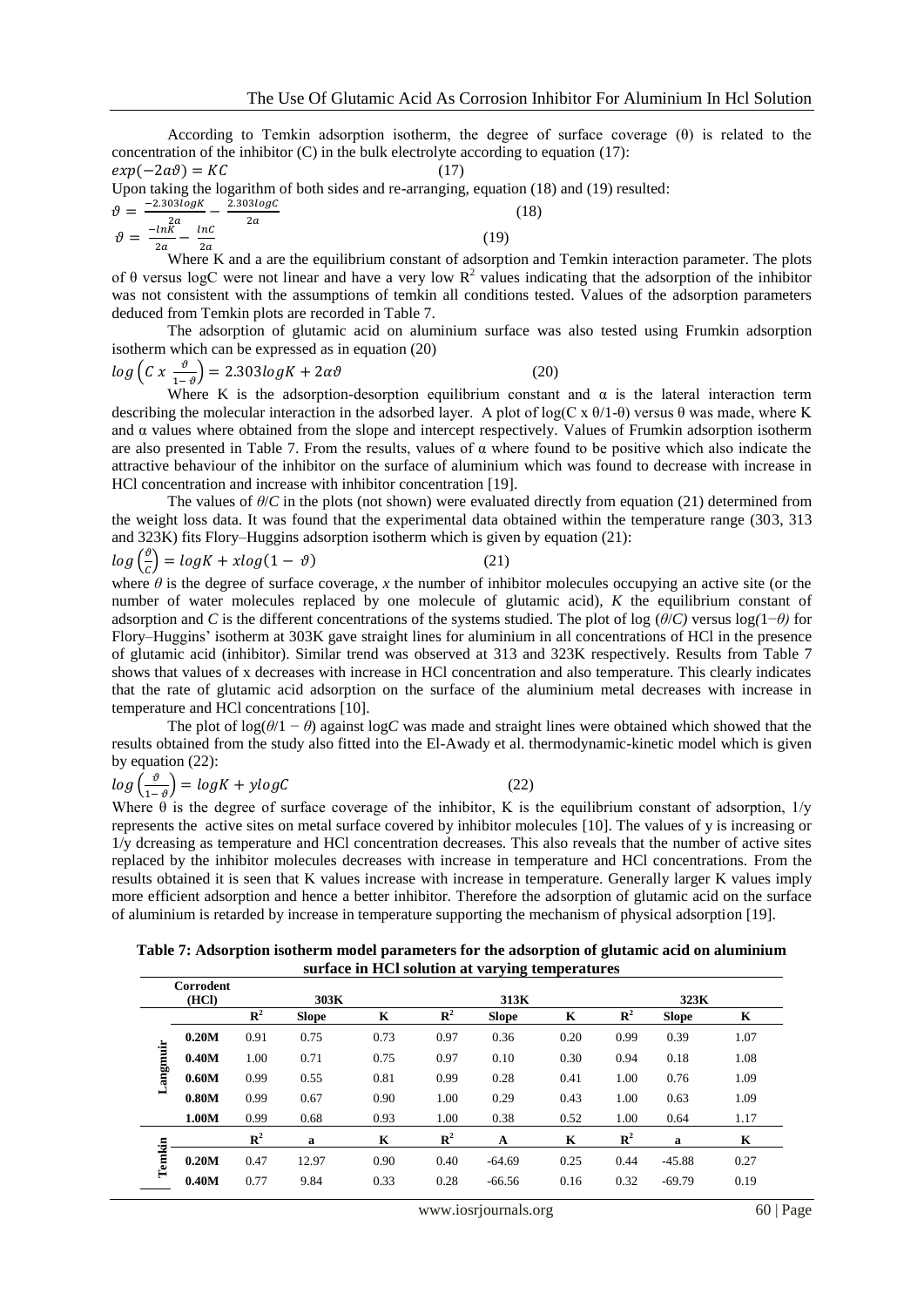According to Temkin adsorption isotherm, the degree of surface coverage  $(\theta)$  is related to the concentration of the inhibitor  $(C)$  in the bulk electrolyte according to equation (17):

 $exp(-2a\theta) = KC$  (17) Upon taking the logarithm of both sides and re-arranging, equation (18) and (19) resulted:  $\vartheta = \frac{-2.303 log K}{2 \pi} 2a$  $2.303logC$  $2a$  (18)  $-9 -ln\tilde{K}$  $\overline{\phantom{0}}$  $lnC$ (19)

 $2a$ Where K and a are the equilibrium constant of adsorption and Temkin interaction parameter. The plots of  $\theta$  versus logC were not linear and have a very low  $\mathbb{R}^2$  values indicating that the adsorption of the inhibitor was not consistent with the assumptions of temkin all conditions tested. Values of the adsorption parameters deduced from Temkin plots are recorded in Table 7.

The adsorption of glutamic acid on aluminium surface was also tested using Frumkin adsorption isotherm which can be expressed as in equation (20)

$$
log(C x \frac{\vartheta}{1-\vartheta}) = 2.303 log K + 2\alpha \vartheta
$$
\n(20)

 $\overline{2a}$ 

Where K is the adsorption-desorption equilibrium constant and  $\alpha$  is the lateral interaction term describing the molecular interaction in the adsorbed layer. A plot of log(C x θ/1-θ) versus θ was made, where K and  $\alpha$  values where obtained from the slope and intercept respectively. Values of Frumkin adsorption isotherm are also presented in Table 7. From the results, values of  $\alpha$  where found to be positive which also indicate the attractive behaviour of the inhibitor on the surface of aluminium which was found to decrease with increase in HCl concentration and increase with inhibitor concentration [19].

The values of *θ*/*C* in the plots (not shown) were evaluated directly from equation (21) determined from the weight loss data. It was found that the experimental data obtained within the temperature range (303, 313 and 323K) fits Flory–Huggins adsorption isotherm which is given by equation (21):

$$
log\left(\frac{\vartheta}{c}\right) = logK + xlog(1 - \vartheta)
$$
\n(21)

where  $\theta$  is the degree of surface coverage, x the number of inhibitor molecules occupying an active site (or the number of water molecules replaced by one molecule of glutamic acid), *K* the equilibrium constant of adsorption and *C* is the different concentrations of the systems studied. The plot of log (*θ*/*C)* versus log*(*1−*θ)* for Flory–Huggins' isotherm at 303K gave straight lines for aluminium in all concentrations of HCl in the presence of glutamic acid (inhibitor). Similar trend was observed at 313 and 323K respectively. Results from Table 7 shows that values of x decreases with increase in HCl concentration and also temperature. This clearly indicates that the rate of glutamic acid adsorption on the surface of the aluminium metal decreases with increase in temperature and HCl concentrations [10].

The plot of  $log(\theta/1 - \theta)$  against  $logC$  was made and straight lines were obtained which showed that the results obtained from the study also fitted into the El-Awady et al. thermodynamic-kinetic model which is given by equation (22):

$$
log\left(\frac{\vartheta}{1-\vartheta}\right) = logK + ylogC\tag{22}
$$

Where  $\theta$  is the degree of surface coverage of the inhibitor, K is the equilibrium constant of adsorption, 1/y represents the active sites on metal surface covered by inhibitor molecules [10]. The values of y is increasing or 1/y dcreasing as temperature and HCl concentration decreases. This also reveals that the number of active sites replaced by the inhibitor molecules decreases with increase in temperature and HCl concentrations. From the results obtained it is seen that K values increase with increase in temperature. Generally larger K values imply more efficient adsorption and hence a better inhibitor. Therefore the adsorption of glutamic acid on the surface of aluminium is retarded by increase in temperature supporting the mechanism of physical adsorption [19].

**Table 7: Adsorption isotherm model parameters for the adsorption of glutamic acid on aluminium surface in HCl solution at varying temperatures**

|          | Corrodent<br>(HCl) |                | 303K  |      |                | 313K     |      |                | 323K     |      |
|----------|--------------------|----------------|-------|------|----------------|----------|------|----------------|----------|------|
|          |                    | $\mathbb{R}^2$ | Slope | K    | $\mathbb{R}^2$ | Slope    | K    | $\mathbb{R}^2$ | Slope    | K    |
|          | 0.20M              | 0.91           | 0.75  | 0.73 | 0.97           | 0.36     | 0.20 | 0.99           | 0.39     | 1.07 |
|          | 0.40M              | 1.00           | 0.71  | 0.75 | 0.97           | 0.10     | 0.30 | 0.94           | 0.18     | 1.08 |
| Langmuir | 0.60M              | 0.99           | 0.55  | 0.81 | 0.99           | 0.28     | 0.41 | 1.00           | 0.76     | 1.09 |
|          | 0.80M              | 0.99           | 0.67  | 0.90 | 1.00           | 0.29     | 0.43 | 1.00           | 0.63     | 1.09 |
|          | 1.00M              | 0.99           | 0.68  | 0.93 | 1.00           | 0.38     | 0.52 | 1.00           | 0.64     | 1.17 |
|          |                    | $\mathbf{R}^2$ | a     | K    | $\mathbb{R}^2$ | A        | K    | $\mathbb{R}^2$ | a        | K    |
| Tenkin   | 0.20M              | 0.47           | 12.97 | 0.90 | 0.40           | $-64.69$ | 0.25 | 0.44           | $-45.88$ | 0.27 |
|          | 0.40M              | 0.77           | 9.84  | 0.33 | 0.28           | $-66.56$ | 0.16 | 0.32           | $-69.79$ | 0.19 |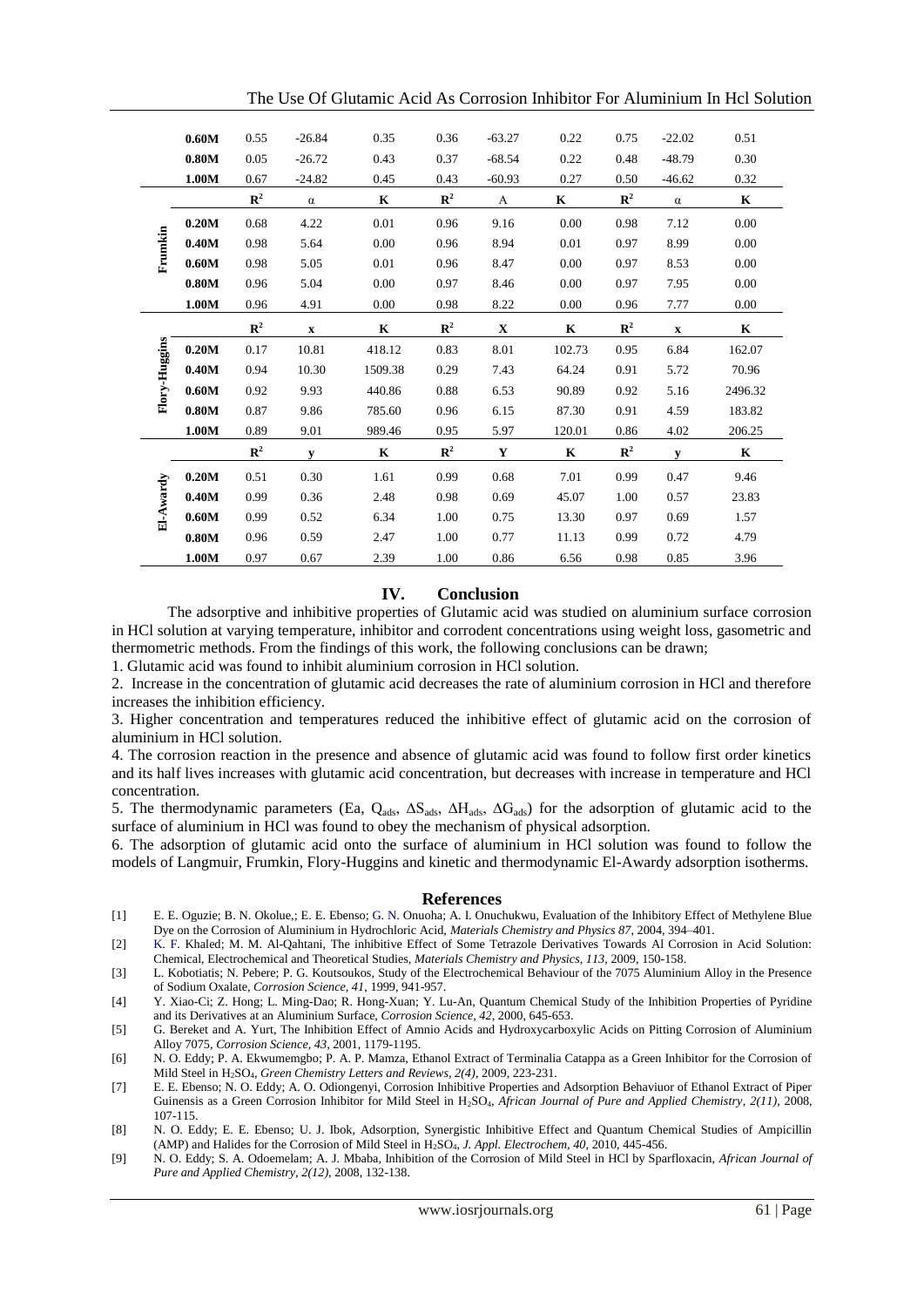|               | 0.60M | 0.55           | $-26.84$    | 0.35        | 0.36           | $-63.27$    | 0.22        | 0.75           | $-22.02$    | 0.51        |
|---------------|-------|----------------|-------------|-------------|----------------|-------------|-------------|----------------|-------------|-------------|
|               | 0.80M | 0.05           | $-26.72$    | 0.43        | 0.37           | $-68.54$    | 0.22        | 0.48           | $-48.79$    | 0.30        |
|               | 1.00M | 0.67           | $-24.82$    | 0.45        | 0.43           | $-60.93$    | 0.27        | 0.50           | $-46.62$    | 0.32        |
|               |       | $\mathbb{R}^2$ | $\alpha$    | $\mathbf K$ | $\mathbb{R}^2$ | A           | $\mathbf K$ | $\mathbb{R}^2$ | $\alpha$    | $\mathbf K$ |
|               | 0.20M | 0.68           | 4.22        | 0.01        | 0.96           | 9.16        | 0.00        | 0.98           | 7.12        | 0.00        |
| Frumkin       | 0.40M | 0.98           | 5.64        | 0.00        | 0.96           | 8.94        | 0.01        | 0.97           | 8.99        | 0.00        |
|               | 0.60M | 0.98           | 5.05        | 0.01        | 0.96           | 8.47        | 0.00        | 0.97           | 8.53        | 0.00        |
|               | 0.80M | 0.96           | 5.04        | 0.00        | 0.97           | 8.46        | 0.00        | 0.97           | 7.95        | 0.00        |
|               | 1.00M | 0.96           | 4.91        | 0.00        | 0.98           | 8.22        | 0.00        | 0.96           | 7.77        | 0.00        |
|               |       | ${\bf R}^2$    | $\mathbf X$ | $\mathbf K$ | ${\bf R}^2$    | $\mathbf X$ | $\mathbf K$ | ${\bf R}^2$    | $\mathbf X$ | $\mathbf K$ |
| Flory-Huggins | 0.20M | 0.17           | 10.81       | 418.12      | 0.83           | 8.01        | 102.73      | 0.95           | 6.84        | 162.07      |
|               | 0.40M | 0.94           | 10.30       | 1509.38     | 0.29           | 7.43        | 64.24       | 0.91           | 5.72        | 70.96       |
|               | 0.60M | 0.92           | 9.93        | 440.86      | 0.88           | 6.53        | 90.89       | 0.92           | 5.16        | 2496.32     |
|               | 0.80M | 0.87           | 9.86        | 785.60      | 0.96           | 6.15        | 87.30       | 0.91           | 4.59        | 183.82      |
|               | 1.00M | 0.89           | 9.01        | 989.46      | 0.95           | 5.97        | 120.01      | 0.86           | 4.02        | 206.25      |
|               |       | $\mathbb{R}^2$ | y           | $\mathbf K$ | $\mathbb{R}^2$ | Y           | $\mathbf K$ | $\mathbb{R}^2$ | y           | $\mathbf K$ |
|               | 0.20M | 0.51           | 0.30        | 1.61        | 0.99           | 0.68        | 7.01        | 0.99           | 0.47        | 9.46        |
| El-Awardy     | 0.40M | 0.99           | 0.36        | 2.48        | 0.98           | 0.69        | 45.07       | 1.00           | 0.57        | 23.83       |
|               | 0.60M | 0.99           | 0.52        | 6.34        | 1.00           | 0.75        | 13.30       | 0.97           | 0.69        | 1.57        |
|               | 0.80M | 0.96           | 0.59        | 2.47        | 1.00           | 0.77        | 11.13       | 0.99           | 0.72        | 4.79        |
|               | 1.00M | 0.97           | 0.67        | 2.39        | 1.00           | 0.86        | 6.56        | 0.98           | 0.85        | 3.96        |

The Use Of Glutamic Acid As Corrosion Inhibitor For Aluminium In Hcl Solution

# **IV. Conclusion**

The adsorptive and inhibitive properties of Glutamic acid was studied on aluminium surface corrosion in HCl solution at varying temperature, inhibitor and corrodent concentrations using weight loss, gasometric and thermometric methods. From the findings of this work, the following conclusions can be drawn;

1. Glutamic acid was found to inhibit aluminium corrosion in HCl solution.

2. Increase in the concentration of glutamic acid decreases the rate of aluminium corrosion in HCl and therefore increases the inhibition efficiency.

3. Higher concentration and temperatures reduced the inhibitive effect of glutamic acid on the corrosion of aluminium in HCl solution.

4. The corrosion reaction in the presence and absence of glutamic acid was found to follow first order kinetics and its half lives increases with glutamic acid concentration, but decreases with increase in temperature and HCl concentration.

5. The thermodynamic parameters (Ea, Q<sub>ads</sub>,  $\Delta S_{ads}$ ,  $\Delta H_{ads}$ ,  $\Delta G_{ads}$ ) for the adsorption of glutamic acid to the surface of aluminium in HCl was found to obey the mechanism of physical adsorption.

6. The adsorption of glutamic acid onto the surface of aluminium in HCl solution was found to follow the models of Langmuir, Frumkin, Flory-Huggins and kinetic and thermodynamic El-Awardy adsorption isotherms.

#### **References**

- [1] E. E. Oguzie; B. N. Okolue,; E. E. Ebenso; G. N. Onuoha; A. I. Onuchukwu, Evaluation of the Inhibitory Effect of Methylene Blue Dye on the Corrosion of Aluminium in Hydrochloric Acid, *Materials Chemistry and Physics 87*, 2004, 394–401.
- [2] K. F. Khaled; M. M. Al-Qahtani, The inhibitive Effect of Some Tetrazole Derivatives Towards Al Corrosion in Acid Solution: Chemical, Electrochemical and Theoretical Studies, *Materials Chemistry and Physics, 113,* 2009, 150-158.
- [3] L. Kobotiatis; N. Pebere; P. G. Koutsoukos, Study of the Electrochemical Behaviour of the 7075 Aluminium Alloy in the Presence of Sodium Oxalate, *Corrosion Science, 41*, 1999, 941-957.
- [4] Y. Xiao-Ci; Z. Hong; L. Ming-Dao; R. Hong-Xuan; Y. Lu-An, Quantum Chemical Study of the Inhibition Properties of Pyridine and its Derivatives at an Aluminium Surface, *Corrosion Science, 42,* 2000, 645-653.
- [5] G. Bereket and A. Yurt, The Inhibition Effect of Amnio Acids and Hydroxycarboxylic Acids on Pitting Corrosion of Aluminium Alloy 7075, *Corrosion Science, 43*, 2001, 1179-1195.
- [6] N. O. Eddy; P. A. Ekwumemgbo; P. A. P. Mamza, Ethanol Extract of Terminalia Catappa as a Green Inhibitor for the Corrosion of Mild Steel in H2SO4, *Green Chemistry Letters and Reviews, 2(4),* 2009, 223-231.
- [7] E. E. Ebenso; N. O. Eddy; A. O. Odiongenyi, Corrosion Inhibitive Properties and Adsorption Behaviuor of Ethanol Extract of Piper Guinensis as a Green Corrosion Inhibitor for Mild Steel in H2SO4, *African Journal of Pure and Applied Chemistry, 2(11),* 2008, 107-115.
- [8] N. O. Eddy; E. E. Ebenso; U. J. Ibok, Adsorption, Synergistic Inhibitive Effect and Quantum Chemical Studies of Ampicillin (AMP) and Halides for the Corrosion of Mild Steel in H2SO4, *J. Appl. Electrochem, 40,* 2010, 445-456.
- [9] N. O. Eddy; S. A. Odoemelam; A. J. Mbaba, Inhibition of the Corrosion of Mild Steel in HCl by Sparfloxacin, *African Journal of Pure and Applied Chemistry, 2(12),* 2008, 132-138.